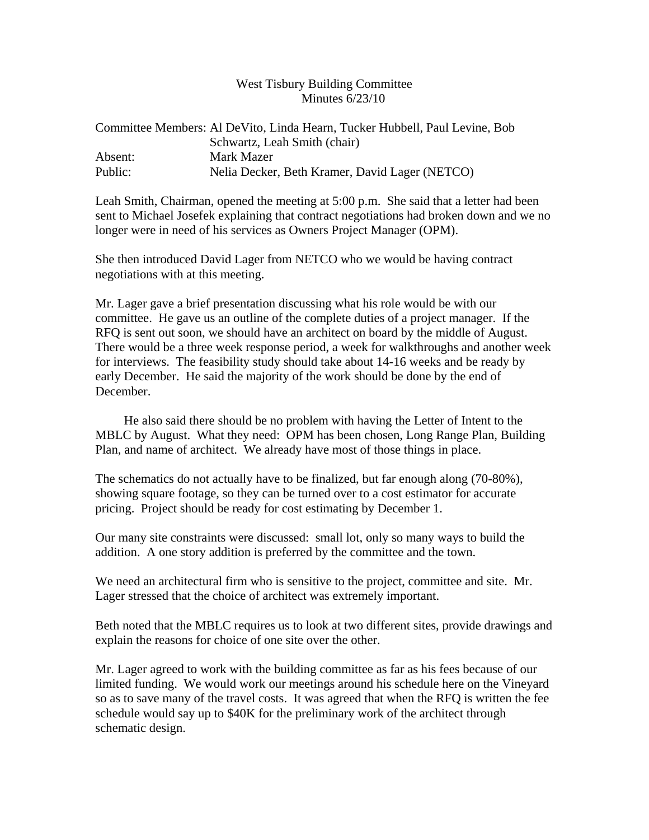## West Tisbury Building Committee Minutes 6/23/10

|         | Committee Members: Al De Vito, Linda Hearn, Tucker Hubbell, Paul Levine, Bob |
|---------|------------------------------------------------------------------------------|
|         | Schwartz, Leah Smith (chair)                                                 |
| Absent: | Mark Mazer                                                                   |
| Public: | Nelia Decker, Beth Kramer, David Lager (NETCO)                               |

Leah Smith, Chairman, opened the meeting at 5:00 p.m. She said that a letter had been sent to Michael Josefek explaining that contract negotiations had broken down and we no longer were in need of his services as Owners Project Manager (OPM).

She then introduced David Lager from NETCO who we would be having contract negotiations with at this meeting.

Mr. Lager gave a brief presentation discussing what his role would be with our committee. He gave us an outline of the complete duties of a project manager. If the RFQ is sent out soon, we should have an architect on board by the middle of August. There would be a three week response period, a week for walkthroughs and another week for interviews. The feasibility study should take about 14-16 weeks and be ready by early December. He said the majority of the work should be done by the end of December.

 He also said there should be no problem with having the Letter of Intent to the MBLC by August. What they need: OPM has been chosen, Long Range Plan, Building Plan, and name of architect. We already have most of those things in place.

The schematics do not actually have to be finalized, but far enough along (70-80%), showing square footage, so they can be turned over to a cost estimator for accurate pricing. Project should be ready for cost estimating by December 1.

Our many site constraints were discussed: small lot, only so many ways to build the addition. A one story addition is preferred by the committee and the town.

We need an architectural firm who is sensitive to the project, committee and site. Mr. Lager stressed that the choice of architect was extremely important.

Beth noted that the MBLC requires us to look at two different sites, provide drawings and explain the reasons for choice of one site over the other.

Mr. Lager agreed to work with the building committee as far as his fees because of our limited funding. We would work our meetings around his schedule here on the Vineyard so as to save many of the travel costs. It was agreed that when the RFQ is written the fee schedule would say up to \$40K for the preliminary work of the architect through schematic design.